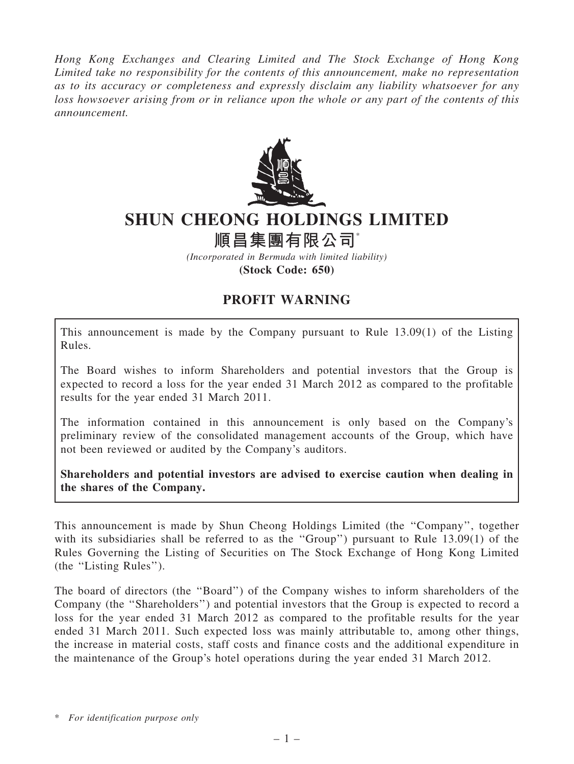Hong Kong Exchanges and Clearing Limited and The Stock Exchange of Hong Kong Limited take no responsibility for the contents of this announcement, make no representation as to its accuracy or completeness and expressly disclaim any liability whatsoever for any loss howsoever arising from or in reliance upon the whole or any part of the contents of this announcement.



## SHUN CHEONG HOLDINGS LIMITED

## 順昌集團有限公司\*

(Incorporated in Bermuda with limited liability) (Stock Code: 650)

## PROFIT WARNING

This announcement is made by the Company pursuant to Rule 13.09(1) of the Listing Rules.

The Board wishes to inform Shareholders and potential investors that the Group is expected to record a loss for the year ended 31 March 2012 as compared to the profitable results for the year ended 31 March 2011.

The information contained in this announcement is only based on the Company's preliminary review of the consolidated management accounts of the Group, which have not been reviewed or audited by the Company's auditors.

Shareholders and potential investors are advised to exercise caution when dealing in the shares of the Company.

This announcement is made by Shun Cheong Holdings Limited (the ''Company'', together with its subsidiaries shall be referred to as the "Group") pursuant to Rule 13.09(1) of the Rules Governing the Listing of Securities on The Stock Exchange of Hong Kong Limited (the ''Listing Rules'').

The board of directors (the ''Board'') of the Company wishes to inform shareholders of the Company (the ''Shareholders'') and potential investors that the Group is expected to record a loss for the year ended 31 March 2012 as compared to the profitable results for the year ended 31 March 2011. Such expected loss was mainly attributable to, among other things, the increase in material costs, staff costs and finance costs and the additional expenditure in the maintenance of the Group's hotel operations during the year ended 31 March 2012.

\* For identification purpose only